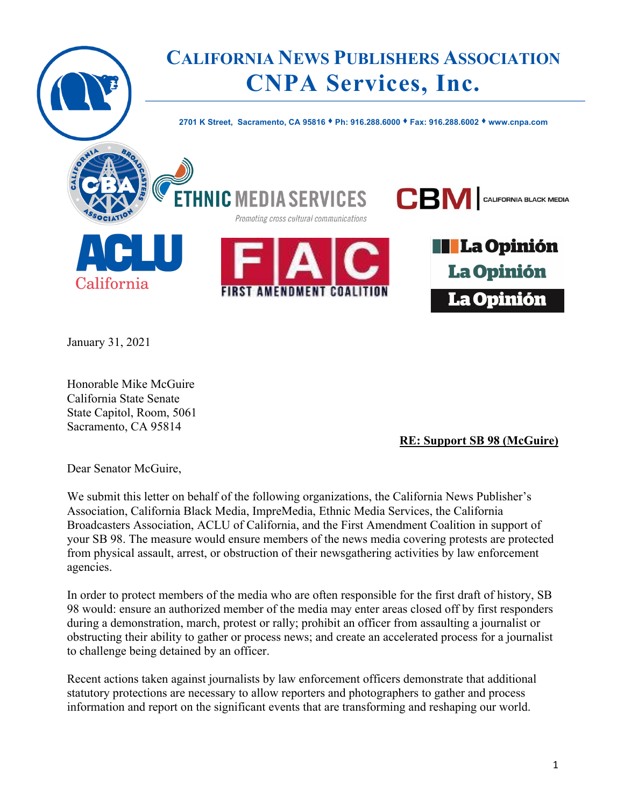

January 31, 2021

Honorable Mike McGuire California State Senate State Capitol, Room, 5061 Sacramento, CA 95814

**RE: Support SB 98 (McGuire)**

Dear Senator McGuire,

We submit this letter on behalf of the following organizations, the California News Publisher's Association, California Black Media, ImpreMedia, Ethnic Media Services, the California Broadcasters Association, ACLU of California, and the First Amendment Coalition in support of your SB 98. The measure would ensure members of the news media covering protests are protected from physical assault, arrest, or obstruction of their newsgathering activities by law enforcement agencies.

In order to protect members of the media who are often responsible for the first draft of history, SB 98 would: ensure an authorized member of the media may enter areas closed off by first responders during a demonstration, march, protest or rally; prohibit an officer from assaulting a journalist or obstructing their ability to gather or process news; and create an accelerated process for a journalist to challenge being detained by an officer.

Recent actions taken against journalists by law enforcement officers demonstrate that additional statutory protections are necessary to allow reporters and photographers to gather and process information and report on the significant events that are transforming and reshaping our world.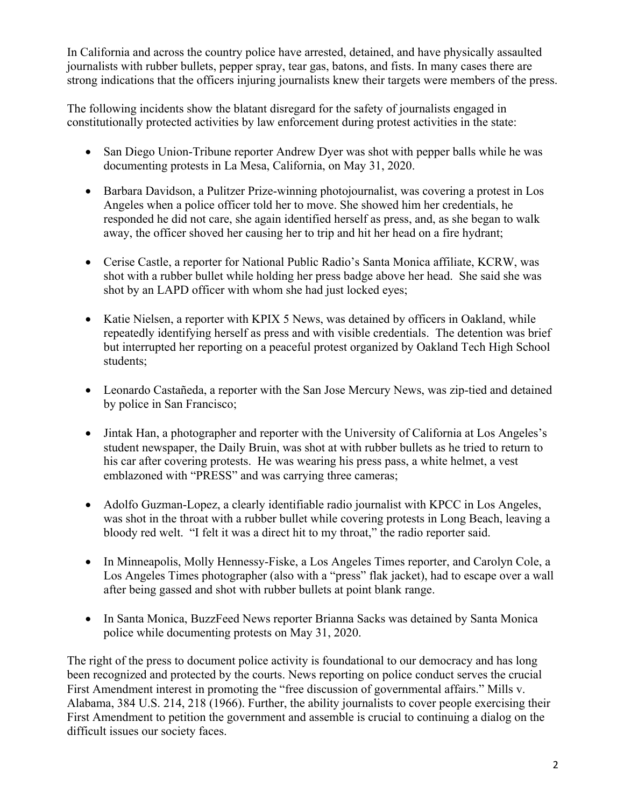In California and across the country police have arrested, detained, and have physically assaulted journalists with rubber bullets, pepper spray, tear gas, batons, and fists. In many cases there are strong indications that the officers injuring journalists knew their targets were members of the press.

The following incidents show the blatant disregard for the safety of journalists engaged in constitutionally protected activities by law enforcement during protest activities in the state:

- San Diego Union-Tribune reporter Andrew Dyer was shot with pepper balls while he was documenting protests in La Mesa, California, on May 31, 2020.
- Barbara Davidson, a Pulitzer Prize-winning photojournalist, was covering a protest in Los Angeles when a police officer told her to move. She showed him her credentials, he responded he did not care, she again identified herself as press, and, as she began to walk away, the officer shoved her causing her to trip and hit her head on a fire hydrant;
- Cerise Castle, a reporter for National Public Radio's Santa Monica affiliate, KCRW, was shot with a rubber bullet while holding her press badge above her head. She said she was shot by an LAPD officer with whom she had just locked eyes;
- Katie Nielsen, a reporter with KPIX 5 News, was detained by officers in Oakland, while repeatedly identifying herself as press and with visible credentials. The detention was brief but interrupted her reporting on a peaceful protest organized by Oakland Tech High School students;
- Leonardo Castañeda, a reporter with the San Jose Mercury News, was zip-tied and detained by police in San Francisco;
- Jintak Han, a photographer and reporter with the University of California at Los Angeles's student newspaper, the Daily Bruin, was shot at with rubber bullets as he tried to return to his car after covering protests. He was wearing his press pass, a white helmet, a vest emblazoned with "PRESS" and was carrying three cameras;
- Adolfo Guzman-Lopez, a clearly identifiable radio journalist with KPCC in Los Angeles, was shot in the throat with a rubber bullet while covering protests in Long Beach, leaving a bloody red welt. "I felt it was a direct hit to my throat," the radio reporter said.
- In Minneapolis, Molly Hennessy-Fiske, a Los Angeles Times reporter, and Carolyn Cole, a Los Angeles Times photographer (also with a "press" flak jacket), had to escape over a wall after being gassed and shot with rubber bullets at point blank range.
- In Santa Monica, BuzzFeed News reporter Brianna Sacks was detained by Santa Monica police while documenting protests on May 31, 2020.

The right of the press to document police activity is foundational to our democracy and has long been recognized and protected by the courts. News reporting on police conduct serves the crucial First Amendment interest in promoting the "free discussion of governmental affairs." Mills v. Alabama, 384 U.S. 214, 218 (1966). Further, the ability journalists to cover people exercising their First Amendment to petition the government and assemble is crucial to continuing a dialog on the difficult issues our society faces.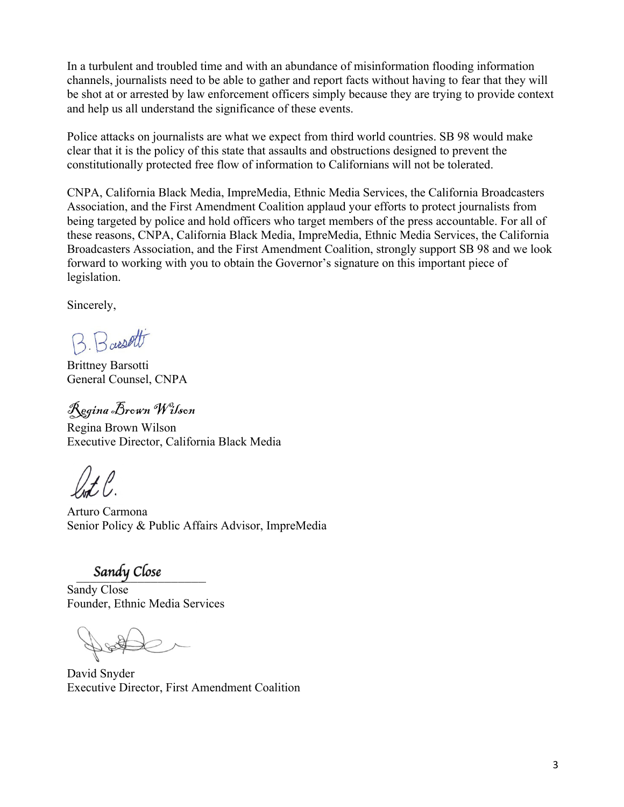In a turbulent and troubled time and with an abundance of misinformation flooding information channels, journalists need to be able to gather and report facts without having to fear that they will be shot at or arrested by law enforcement officers simply because they are trying to provide context and help us all understand the significance of these events.

Police attacks on journalists are what we expect from third world countries. SB 98 would make clear that it is the policy of this state that assaults and obstructions designed to prevent the constitutionally protected free flow of information to Californians will not be tolerated.

CNPA, California Black Media, ImpreMedia, Ethnic Media Services, the California Broadcasters Association, and the First Amendment Coalition applaud your efforts to protect journalists from being targeted by police and hold officers who target members of the press accountable. For all of these reasons, CNPA, California Black Media, ImpreMedia, Ethnic Media Services, the California Broadcasters Association, and the First Amendment Coalition, strongly support SB 98 and we look forward to working with you to obtain the Governor's signature on this important piece of legislation.

Sincerely,

B. Bassett

Brittney Barsotti General Counsel, CNPA

Regina Brown Wilson

Regina Brown Wilson Executive Director, California Black Media

Arturo Carmona Senior Policy & Public Affairs Advisor, ImpreMedia

Sandy Close<br>Sandy Close Founder, Ethnic Media Services

David Snyder Executive Director, First Amendment Coalition